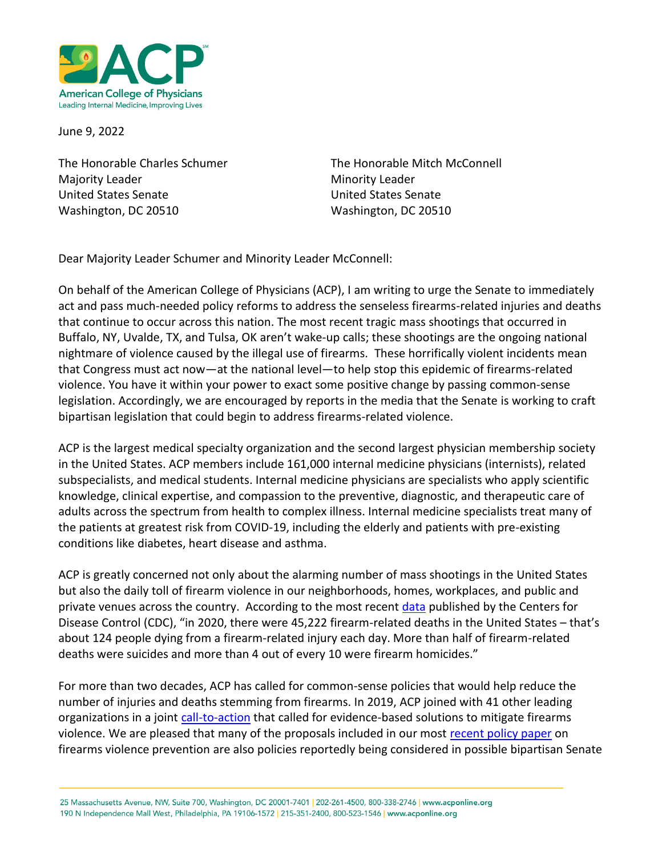

June 9, 2022

Majority Leader **Minority Leader** Minority Leader United States Senate United States Senate Washington, DC 20510 Washington, DC 20510

The Honorable Charles Schumer The Honorable Mitch McConnell

Dear Majority Leader Schumer and Minority Leader McConnell:

On behalf of the American College of Physicians (ACP), I am writing to urge the Senate to immediately act and pass much-needed policy reforms to address the senseless firearms-related injuries and deaths that continue to occur across this nation. The most recent tragic mass shootings that occurred in Buffalo, NY, Uvalde, TX, and Tulsa, OK aren't wake-up calls; these shootings are the ongoing national nightmare of violence caused by the illegal use of firearms. These horrifically violent incidents mean that Congress must act now—at the national level—to help stop this epidemic of firearms-related violence. You have it within your power to exact some positive change by passing common-sense legislation. Accordingly, we are encouraged by reports in the media that the Senate is working to craft bipartisan legislation that could begin to address firearms-related violence.

ACP is the largest medical specialty organization and the second largest physician membership society in the United States. ACP members include 161,000 internal medicine physicians (internists), related subspecialists, and medical students. Internal medicine physicians are specialists who apply scientific knowledge, clinical expertise, and compassion to the preventive, diagnostic, and therapeutic care of adults across the spectrum from health to complex illness. Internal medicine specialists treat many of the patients at greatest risk from COVID-19, including the elderly and patients with pre-existing conditions like diabetes, heart disease and asthma.

ACP is greatly concerned not only about the alarming number of mass shootings in the United States but also the daily toll of firearm violence in our neighborhoods, homes, workplaces, and public and private venues across the country. According to the most recent [data](https://www.cdc.gov/violenceprevention/firearms/fastfact.html) published by the Centers for Disease Control (CDC), "in 2020, there were 45,222 firearm-related deaths in the United States – that's about 124 people dying from a firearm-related injury each day. More than half of firearm-related deaths were suicides and more than 4 out of every 10 were firearm homicides."

For more than two decades, ACP has called for common-sense policies that would help reduce the number of injuries and deaths stemming from firearms. In 2019, ACP joined with 41 other leading organizations in a joint [call-to-action](https://www.acponline.org/acp-newsroom/acp-and-41-leading-organizations-announce-agreement-on-call-to-action-to-reduce-gun-violence) that called for evidence-based solutions to mitigate firearms violence. We are pleased that many of the proposals included in our most [recent policy paper](https://www.acpjournals.org/doi/full/10.7326/M18-1530?journalCode=aim) on firearms violence prevention are also policies reportedly being considered in possible bipartisan Senate

25 Massachusetts Avenue, NW, Suite 700, Washington, DC 20001-7401 | 202-261-4500, 800-338-2746 | www.acponline.org 190 N Independence Mall West, Philadelphia, PA 19106-1572 | 215-351-2400, 800-523-1546 | www.acponline.org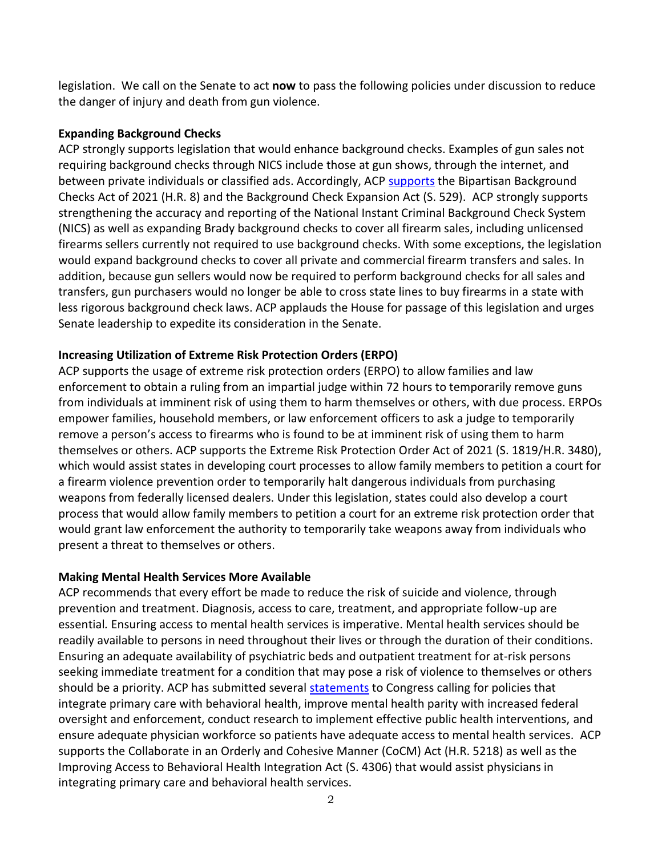legislation. We call on the Senate to act **now** to pass the following policies under discussion to reduce the danger of injury and death from gun violence.

### **Expanding Background Checks**

ACP strongly supports legislation that would enhance background checks. Examples of gun sales not requiring background checks through NICS include those at gun shows, through the internet, and between private individuals or classified ads. Accordingly, ACP [supports](https://www.acponline.org/acp_policy/letters/acp_support_letter_to_congressional_leadership_for_the_bipartisan_background_checks_act_and_the_background_check_expansion_act_march_2021.pdf) the Bipartisan Background Checks Act of 2021 (H.R. 8) and the Background Check Expansion Act (S. 529). ACP strongly supports strengthening the accuracy and reporting of the National Instant Criminal Background Check System (NICS) as well as expanding Brady background checks to cover all firearm sales, including unlicensed firearms sellers currently not required to use background checks. With some exceptions, the legislation would expand background checks to cover all private and commercial firearm transfers and sales. In addition, because gun sellers would now be required to perform background checks for all sales and transfers, gun purchasers would no longer be able to cross state lines to buy firearms in a state with less rigorous background check laws. ACP applauds the House for passage of this legislation and urges Senate leadership to expedite its consideration in the Senate.

# **Increasing Utilization of Extreme Risk Protection Orders (ERPO)**

ACP supports the usage of extreme risk protection orders (ERPO) to allow families and law enforcement to obtain a ruling from an impartial judge within 72 hours to temporarily remove guns from individuals at imminent risk of using them to harm themselves or others, with due process. ERPOs empower families, household members, or law enforcement officers to ask a judge to temporarily remove a person's access to firearms who is found to be at imminent risk of using them to harm themselves or others. ACP supports the Extreme Risk Protection Order Act of 2021 (S. 1819/H.R. 3480), which would assist states in developing court processes to allow family members to petition a court for a firearm violence prevention order to temporarily halt dangerous individuals from purchasing weapons from federally licensed dealers. Under this legislation, states could also develop a court process that would allow family members to petition a court for an extreme risk protection order that would grant law enforcement the authority to temporarily take weapons away from individuals who present a threat to themselves or others.

# **Making Mental Health Services More Available**

ACP recommends that every effort be made to reduce the risk of suicide and violence, through prevention and treatment. Diagnosis, access to care, treatment, and appropriate follow-up are essential*.* Ensuring access to mental health services is imperative. Mental health services should be readily available to persons in need throughout their lives or through the duration of their conditions. Ensuring an adequate availability of psychiatric beds and outpatient treatment for at-risk persons seeking immediate treatment for a condition that may pose a risk of violence to themselves or others should be a priority. ACP has submitted several [statements](https://www.acponline.org/acp_policy/testimony/acp_statement_for_the_record_to_the_senate_help_committee_on_mental_health_and_substance_use_disorders_responding_to_the_growing_crisis_feb_2022.pdf) to Congress calling for policies that integrate primary care with behavioral health, improve mental health parity with increased federal oversight and enforcement, conduct research to implement effective public health interventions, and ensure adequate physician workforce so patients have adequate access to mental health services. ACP supports the Collaborate in an Orderly and Cohesive Manner (CoCM) Act (H.R. 5218) as well as the Improving Access to Behavioral Health Integration Act (S. 4306) that would assist physicians in integrating primary care and behavioral health services.